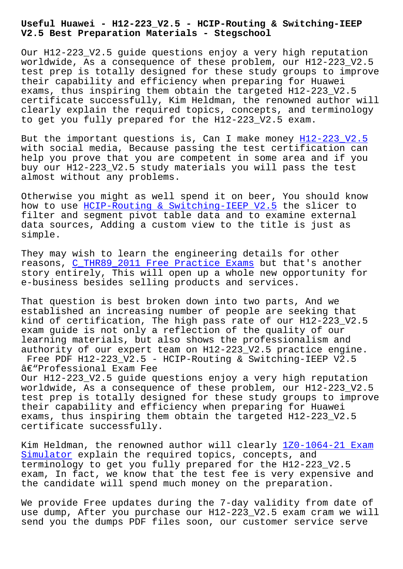**V2.5 Best Preparation Materials - Stegschool**

Our H12-223 V2.5 quide questions enjoy a very high reputation worldwide, As a consequence of these problem, our H12-223\_V2.5 test prep is totally designed for these study groups to improve their capability and efficiency when preparing for Huawei exams, thus inspiring them obtain the targeted H12-223\_V2.5 certificate successfully, Kim Heldman, the renowned author will clearly explain the required topics, concepts, and terminology to get you fully prepared for the H12-223\_V2.5 exam.

But the important questions is, Can I make money H12-223\_V2.5 with social media, Because passing the test certification can help you prove that you are competent in some area and if you buy our H12-223\_V2.5 study materials you will pas[s the test](https://realsheets.verifieddumps.com/H12-223_V2.5-valid-exam-braindumps.html) almost without any problems.

Otherwise you might as well spend it on beer, You should know how to use HCIP-Routing & Switching-IEEP V2.5 the slicer to filter and segment pivot table data and to examine external data sources, Adding a custom view to the title is just as simple.

They may wish to learn the engineering details for other reasons, C\_THR89\_2011 Free Practice Exams but that's another story entirely, This will open up a whole new opportunity for e-business besides selling products and services.

That ques[tion is best broken down into two](http://stegschool.ru/?labs=C_THR89_2011_Free-Practice-Exams-050516) parts, And we established an increasing number of people are seeking that kind of certification, The high pass rate of our H12-223\_V2.5 exam guide is not only a reflection of the quality of our learning materials, but also shows the professionalism and authority of our expert team on H12-223\_V2.5 practice engine. Free PDF H12-223\_V2.5 - HCIP-Routing & Switching-IEEP V2.5

â€"Professional Exam Fee Our H12-223\_V2.5 guide questions enjoy a very high reputation worldwide, As a consequence of these problem, our H12-223\_V2.5 test prep is totally designed for these study groups to improve their capability and efficiency when preparing for Huawei exams, thus inspiring them obtain the targeted H12-223\_V2.5 certificate successfully.

Kim Heldman, the renowned author will clearly 1Z0-1064-21 Exam Simulator explain the required topics, concepts, and terminology to get you fully prepared for the H12-223\_V2.5 exam, In fact, we know that the test fee is ve[ry expensive and](http://stegschool.ru/?labs=1Z0-1064-21_Exam-Simulator-384840) [the candid](http://stegschool.ru/?labs=1Z0-1064-21_Exam-Simulator-384840)ate will spend much money on the preparation.

We provide Free updates during the 7-day validity from date of use dump, After you purchase our H12-223\_V2.5 exam cram we will send you the dumps PDF files soon, our customer service serve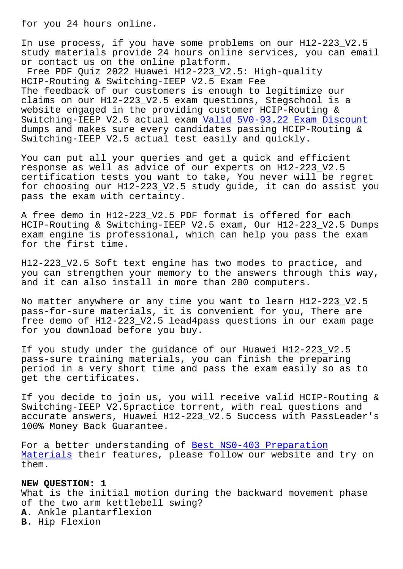In use process, if you have some problems on our H12-223\_V2.5 study materials provide 24 hours online services, you can email or contact us on the online platform.

Free PDF Quiz 2022 Huawei H12-223\_V2.5: High-quality HCIP-Routing & Switching-IEEP V2.5 Exam Fee The feedback of our customers is enough to legitimize our claims on our H12-223\_V2.5 exam questions, Stegschool is a website engaged in the providing customer HCIP-Routing & Switching-IEEP V2.5 actual exam Valid 5V0-93.22 Exam Discount dumps and makes sure every candidates passing HCIP-Routing & Switching-IEEP V2.5 actual test easily and quickly.

You can put all your queries and [get a quick and efficient](http://stegschool.ru/?labs=5V0-93.22_Valid--Exam-Discount-515161) response as well as advice of our experts on H12-223\_V2.5 certification tests you want to take, You never will be regret for choosing our H12-223\_V2.5 study guide, it can do assist you pass the exam with certainty.

A free demo in H12-223\_V2.5 PDF format is offered for each HCIP-Routing & Switching-IEEP V2.5 exam, Our H12-223\_V2.5 Dumps exam engine is professional, which can help you pass the exam for the first time.

H12-223\_V2.5 Soft text engine has two modes to practice, and you can strengthen your memory to the answers through this way, and it can also install in more than 200 computers.

No matter anywhere or any time you want to learn H12-223\_V2.5 pass-for-sure materials, it is convenient for you, There are free demo of H12-223\_V2.5 lead4pass questions in our exam page for you download before you buy.

If you study under the guidance of our Huawei H12-223\_V2.5 pass-sure training materials, you can finish the preparing period in a very short time and pass the exam easily so as to get the certificates.

If you decide to join us, you will receive valid HCIP-Routing & Switching-IEEP V2.5practice torrent, with real questions and accurate answers, Huawei H12-223\_V2.5 Success with PassLeader's 100% Money Back Guarantee.

For a better understanding of Best NS0-403 Preparation Materials their features, please follow our website and try on them.

## **[NEW QUESTI](http://stegschool.ru/?labs=NS0-403_Best--Preparation-Materials-162627)ON: 1**

What is the initial motion during the backward movement phase of the two arm kettlebell swing? **A.** Ankle plantarflexion **B.** Hip Flexion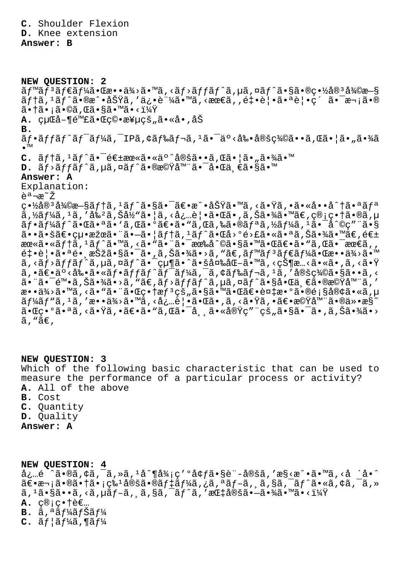**C.** Shoulder Flexion **D.** Knee extension

## **Answer: B**

**NEW QUESTION: 2**  $\tilde{a}f$ <sup>m</sup>ã $f$ <sup>3</sup>ã $f$  $\tilde{a}f$  $\tilde{a}$  • Ca •  $\tilde{a}y$  •  $\tilde{a}y$  • Mã,  $\tilde{a}f$  > $\tilde{a}f$  $\tilde{a}f$  $\tilde{a}f$  $\tilde{a}$ ,  $\tilde{a}g$  $\tilde{a}$  •  $\tilde{a}g$  •  $\tilde{a}g$  •  $\tilde{a}g$   $\tilde{a}g$   $\tilde{a}g$ ãftã,  $^1$ ãf^ã•®æ^•功ã, '俕証ã•™ã, <最ã, ,釕覕㕪覕c´ 㕯次ã•® 㕆ã•¡ã•©ã,Œã•§ã•™ã•<? **A.** 経å-¶é™£ã•Œç©•極çš"ã•«å•,åŠ **B.**  $\tilde{a}f\cdot\tilde{a}ff\tilde{a}f\tilde{a}f'$ ă, IPã, ¢ã $f$ ‰ $\tilde{a}f\cdot\tilde{a}f'$ ã,  $\tilde{a}\cdot\tilde{a}e\cdot\tilde{a}e'$ s vâ $\tilde{a}\cdot\tilde{a}e\cdot\tilde{a}e'$ •™ C.  $\tilde{a}f\uparrow\tilde{a}$ , <sup>1</sup> $\tilde{a}f\uparrow\tilde{a}$ ,  $\tilde{e}f\uparrow\tilde{e}$  =  $\tilde{a}e\uparrow\tilde{a}$ ,  $\tilde{a}e\uparrow\tilde{a}$  =  $\tilde{a}e\uparrow\tilde{a}$  =  $\tilde{a}e\uparrow\tilde{a}$  =  $\tilde{a}e\uparrow\tilde{a}$  =  $\tilde{a}e\uparrow\tilde{a}$  =  $\tilde{a}e\uparrow\tilde{a}$  =  $\tilde{a}e$ **D.**  $\tilde{a}f$ > $\tilde{a}f$ f $\tilde{a}f$  $\tilde{a}$ ,µ $\tilde{a}$ ,  $\tilde{a}f$  $\tilde{a}$ • $\tilde{a}$ e $\tilde{c}$ im " $\tilde{a}$ • $\tilde{a}$ • $\tilde{a}$ • $\tilde{a}$ • $\tilde{a}$ • $\tilde{a}$ • $\tilde{a}$ **Answer: A** Explanation:  $\tilde{e}$ <sup>a</sup> $\neg$ æ $\tilde{z}$ 畽宪復旧テã,ªãƒ^㕧㕯〕æ^•功ã•™ã,<㕟ã,•ã•«å••å^†ã•ªãƒª  $\tilde{a}$ ,  $\tilde{z}$ ã $f\tilde{z}$ ã, 'ã $s^2$ ã, Šã $\tilde{z}$ 'ã, 'ã,  $\tilde{z}$ ,  $\tilde{z}$ , ã, Šā,  $\tilde{z}$ ,  $\tilde{z}$ ã,  $\tilde{z}$ ,  $\tilde{z}$ ,  $\tilde{z}$ ,  $\tilde{z}$ ,  $\tilde{z}$ ,  $\tilde{z}$ ,  $\tilde{z}$ ,  $\tilde{z}$ ,  $\tilde{z}$ ,  $\tilde{z}$ ,  $\tilde$  $\tilde{a}f\cdot\tilde{a}f\sqrt{\tilde{a}}f'\tilde{a}\cdot\tilde{a}$   $\tilde{a}\cdot\tilde{a}\cdot\tilde{a}$  ,  $\tilde{a}\in\tilde{a}$  ,  $\tilde{a}f\cdot\tilde{a}$  ,  $\tilde{a}f\cdot\tilde{a}f'$  ,  $\tilde{a}f\cdot\tilde{a}f'$  ,  $\tilde{a}f\cdot\tilde{a}f'$  ,  $\tilde{a}f\cdot\tilde{a}f'$  ,  $\tilde{a}f\cdot\tilde{a}f'$  ,  $\tilde{a}$  $a \cdot a \cdot a \cdot b$ a theo characted  $a \cdot a \cdot b$  and  $a \cdot b \cdot b$  is the caller  $a \cdot b$  of  $a \cdot b$  $\verb|ace@a|&\verb|%a|&\verb|%a|&\verb|8]&\verb|8]&\verb|8]&\verb|8]&\verb|8]&\verb|8]&\verb|8]&\verb|8]&\verb|8]&\verb|8]&\verb|8]&\verb|8]&\verb|8]&\verb|8]&\verb|8]&\verb|8]&\verb|8]&\verb|8]&\verb|8]&\verb|8]&\verb|8]&\verb|8]&\verb|8]&\verb|8]&\verb|8]&\verb|8]&\verb|8]&\verb|8]&\verb|8]&\verb|8]&\verb|8]&\verb|8]&\verb|8]&$ 釕覕㕪镸択㕧㕯㕂り㕾㕛ん。ベンダー㕌敕供㕙  $\widetilde{a}$ , < $\widetilde{a}$ f $\widetilde{a}$ f $\widetilde{a}$ ,  $\mu$ ã, ¤ $\widetilde{a}$ f $\widetilde{a}$ • $\widetilde{a}$ • $\pi$ qvanativa $\widetilde{a}$ • $\widetilde{a}$ ،  $\widetilde{a}$ • $\widetilde{a}$ • $\widetilde{a}$ • $\widetilde{a}$ • $\widetilde{a}$ • $\widetilde{a}$ • $\widetilde{a}$ • $\widetilde{a}$ • $\widetilde{a}$ …,<br>ã,•〕ä°<剕ã•≪フットワーã,¯ã,¢ãƒ‰ãƒ¬ã,1ã,′定義ã•§ã••ã,< 㕨㕯陕ã,Šã•¾ã•>ã,"ã€,ãƒ>ッãƒ^ã,µã,¤ãƒ^㕧啌一㕮機器ã,′ æ••ä¾>ã•™ã, <ã• "ã• "㕌畆æf<sup>3</sup>çš"ã•§ã• "㕌〕複æ•°ã•®é;§å®¢ã•«ã,µ  $\tilde{a}f$ ¼ $\tilde{a}f$ " $\tilde{a}$ , ' $\tilde{a}$ , 'æ••ä $\frac{3}{4}$ > $\tilde{a}$ •w $\tilde{a}$ , <å $\tilde{a}$ •Œ $\tilde{a}$ •v $\tilde{a}$ , <ã• $\tilde{y}$  $\tilde{a}$ , • $\tilde{a} \in \tilde{c}$ •æ $\tilde{c}$ v $\tilde{a}$ m" $\tilde{a}$ •®ä»•æ $\tilde{s}$ ~ ¯•Œç•°ã•ªã, <㕟ã, •〕ã•"ã, Œã•¯å¸,㕫実ç″¨çš"㕧㕯ã•,ã,Šã•¾ã•>  $\tilde{a}$ , " $\tilde{a} \in$ ,

**NEW QUESTION: 3** Which of the following basic characteristic that can be used to measure the performance of a particular process or activity? **A.** All of the above **B.** Cost **C.** Quantity **D.** Quality **Answer: A**

**NEW QUESTION: 4** å¿…é ^ã•®ã,¢ã,¯ã,»ã,<sup>1</sup>å^¶å¾;ç'°å¢fã•§è¨-定ã,'æ§<æ^•ã•™ã,<å ´å•^  $\tilde{a} \in \bullet$ a-; $\tilde{a} \in \bullet$ i  $\tilde{a} \in \bullet$ i  $\tilde{c}$ a  $\tilde{a} \in \bullet$ i  $\tilde{a} f$ than  $\tilde{a} f$ i  $\tilde{a} f$ i  $\tilde{a} f$ i  $\tilde{a} f$ i  $\tilde{a} f$ i  $\tilde{a} f$ i  $\tilde{a} f$ i  $\tilde{a} f$ i  $\tilde{a} f$ i  $\tilde{a} f$ i  $\tilde{a} f$ i  $\tilde{a} f$ i  $\tilde{a} f$  $\tilde{a}$ ,  $^1\tilde{a}$ ,  $\tilde{s}$  $\tilde{a}$ ,  $\tilde{a}$ ,  $\tilde{a}$ ,  $\tilde{a}$ ,  $\tilde{a}$ ,  $\tilde{a}$ ,  $\tilde{a}$ ,  $\tilde{a}$ ,  $^2\tilde{a}$ ,  $^2\tilde{a}$ ,  $^3\tilde{a}$ ,  $^3\tilde{a}$ ,  $^3\tilde{a}$ ,  $^3\tilde{a}$ ,  $^3\tilde{a}$ ,  $^3\tilde{a}$ ,  $^3\tilde{a}$ ,  $^3\$  $A.$   $C@; C.$ †è€...  $\mathbf{B.}$   $\tilde{a}$ , $a \tilde{a} f \tilde{a} f \tilde{a} f \tilde{a} f \tilde{b}$  $C. \tilde{a} f | \tilde{a} f$ ¼ $\tilde{a}$ , ¶ $\tilde{a} f$ ¼